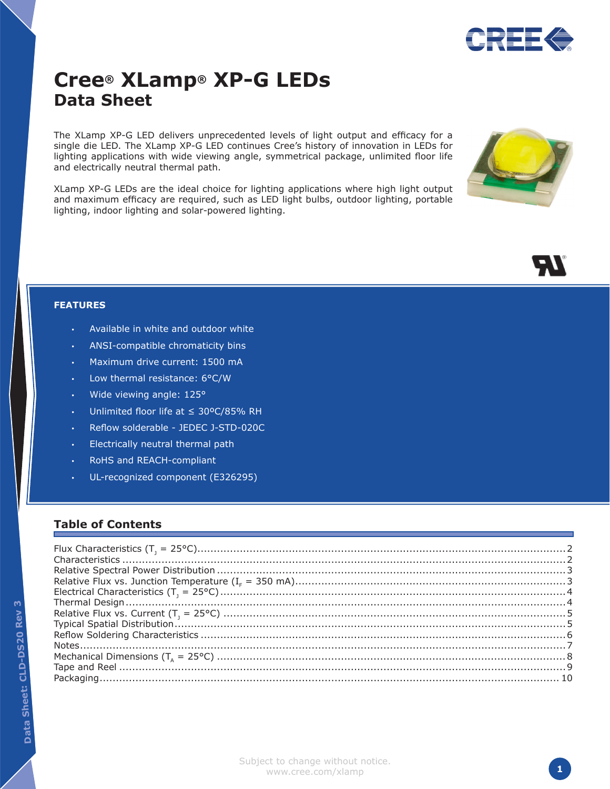

# **Cree® XLamp® XP-G LEDs Data Sheet**

The XLamp XP-G LED delivers unprecedented levels of light output and efficacy for a single die LED. The XLamp XP-G LED continues Cree's history of innovation in LEDs for lighting applications with wide viewing angle, symmetrical package, unlimited floor life and electrically neutral thermal path.

XLamp XP-G LEDs are the ideal choice for lighting applications where high light output and maximum efficacy are required, such as LED light bulbs, outdoor lighting, portable lighting, indoor lighting and solar-powered lighting.





#### **FEATURES**

- Available in white and outdoor white
- ANSI-compatible chromaticity bins
- Maximum drive current: 1500 mA
- Low thermal resistance: 6°C/W
- Wide viewing angle: 125°
- Unlimited floor life at  $\leq 30^{\circ}$ C/85% RH
- Reflow solderable JEDEC J-STD-020C
- Electrically neutral thermal path
- RoHS and REACH-compliant
- UL-recognized component (E326295)

#### **Table of Contents**

<u>რ</u>

Subject to change without notice. www.cree.com/xlamp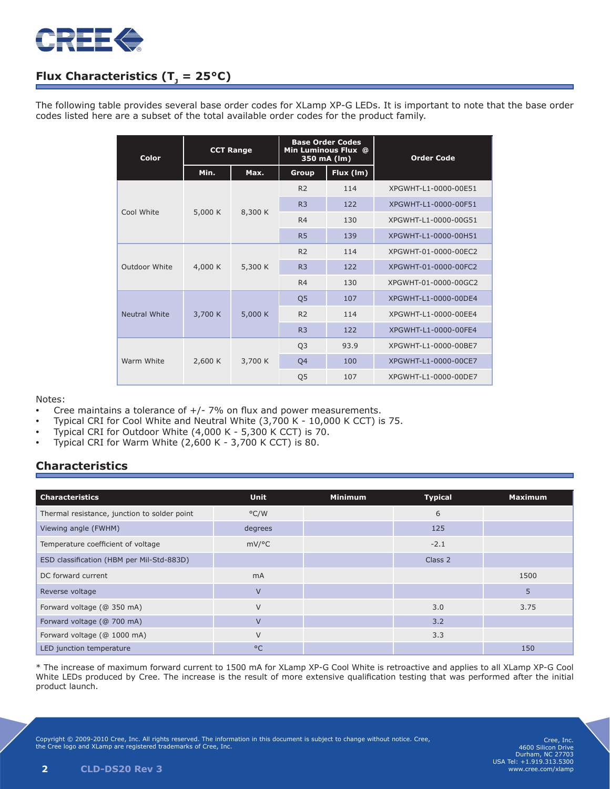

# **Flux Characteristics (T<sub>1</sub> = 25°C)**

The following table provides several base order codes for XLamp XP-G LEDs. It is important to note that the base order codes listed here are a subset of the total available order codes for the product family.

| Color         | <b>CCT Range</b> |         | <b>Base Order Codes</b><br>Min Luminous Flux @<br>350 mA (lm) |           | <b>Order Code</b>    |  |
|---------------|------------------|---------|---------------------------------------------------------------|-----------|----------------------|--|
|               | Min.             | Max.    | Group                                                         | Flux (Im) |                      |  |
| Cool White    | 5,000 K          | 8,300 K | R <sub>2</sub>                                                | 114       | XPGWHT-L1-0000-00E51 |  |
|               |                  |         | R <sub>3</sub>                                                | 122       | XPGWHT-L1-0000-00F51 |  |
|               |                  |         | R <sub>4</sub>                                                | 130       | XPGWHT-L1-0000-00G51 |  |
|               |                  |         | R <sub>5</sub>                                                | 139       | XPGWHT-L1-0000-00H51 |  |
| Outdoor White | 4,000 K          | 5,300 K | R <sub>2</sub>                                                | 114       | XPGWHT-01-0000-00EC2 |  |
|               |                  |         | R <sub>3</sub>                                                | 122       | XPGWHT-01-0000-00FC2 |  |
|               |                  |         | R <sub>4</sub>                                                | 130       | XPGWHT-01-0000-00GC2 |  |
|               |                  | 5,000 K | Q <sub>5</sub>                                                | 107       | XPGWHT-L1-0000-00DE4 |  |
| Neutral White | 3,700 K          |         | R <sub>2</sub>                                                | 114       | XPGWHT-L1-0000-00EE4 |  |
|               |                  |         | R <sub>3</sub>                                                | 122       | XPGWHT-L1-0000-00FE4 |  |
| Warm White    | 2,600 K          | 3,700 K | Q <sub>3</sub>                                                | 93.9      | XPGWHT-L1-0000-00BE7 |  |
|               |                  |         | Q4                                                            | 100       | XPGWHT-L1-0000-00CE7 |  |
|               |                  |         | Q <sub>5</sub>                                                | 107       | XPGWHT-L1-0000-00DE7 |  |

#### Notes:

- Cree maintains a tolerance of  $+/$  7% on flux and power measurements.
- Typical CRI for Cool White and Neutral White (3,700 K 10,000 K CCT) is 75.
- Typical CRI for Outdoor White  $(4,000 K 5,300 K$  CCT) is 70.
- Typical CRI for Warm White  $(2,600 \text{ K} 3,700 \text{ K }$ CCT) is 80.

#### **Characteristics**

| <b>Characteristics</b>                       | <b>Unit</b>    | <b>Minimum</b> | <b>Typical</b> | <b>Maximum</b> |
|----------------------------------------------|----------------|----------------|----------------|----------------|
| Thermal resistance, junction to solder point | $\degree$ C/W  |                | 6              |                |
| Viewing angle (FWHM)                         | degrees        |                | 125            |                |
| Temperature coefficient of voltage           | mV/°C          |                | $-2.1$         |                |
| ESD classification (HBM per Mil-Std-883D)    |                |                | Class 2        |                |
| DC forward current                           | m <sub>A</sub> |                |                | 1500           |
| Reverse voltage                              | $\vee$         |                |                | 5              |
| Forward voltage (@ 350 mA)                   | $\vee$         |                | 3.0            | 3.75           |
| Forward voltage (@ 700 mA)                   | $\vee$         |                | 3.2            |                |
| Forward voltage (@ 1000 mA)                  | $\vee$         |                | 3.3            |                |
| LED junction temperature                     | $^{\circ}$ C   |                |                | 150            |

\* The increase of maximum forward current to 1500 mA for XLamp XP-G Cool White is retroactive and applies to all XLamp XP-G Cool White LEDs produced by Cree. The increase is the result of more extensive qualification testing that was performed after the initial product launch.

Copyright © 2009-2010 Cree, Inc. All rights reserved. The information in this document is subject to change without notice. Cree, the Cree logo and XLamp are registered trademarks of Cree, Inc.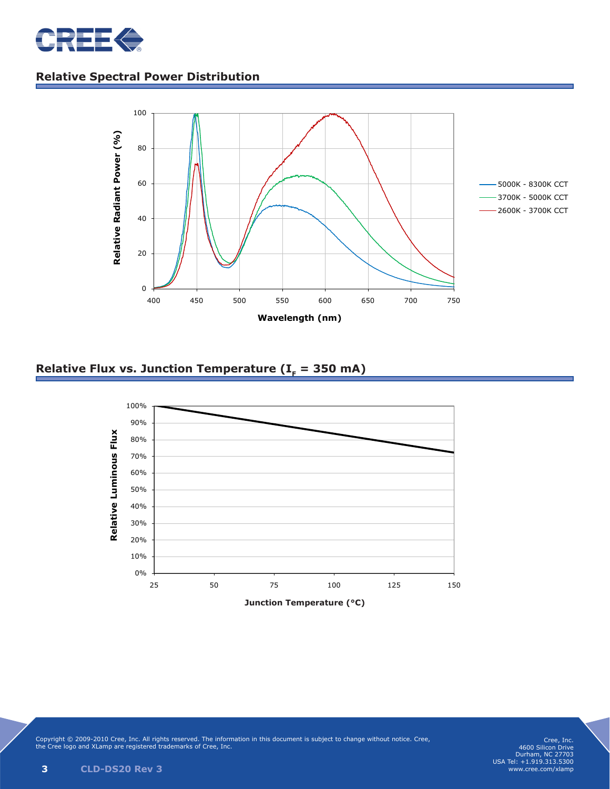

# **Relative Spectral Power Distribution**



### Relative Flux vs. Junction Temperature ( $I<sub>F</sub>$  = 350 mA)



Copyright © 2009-2010 Cree, Inc. All rights reserved. The information in this document is subject to change without notice. Cree, the Cree logo and XLamp are registered trademarks of Cree, Inc.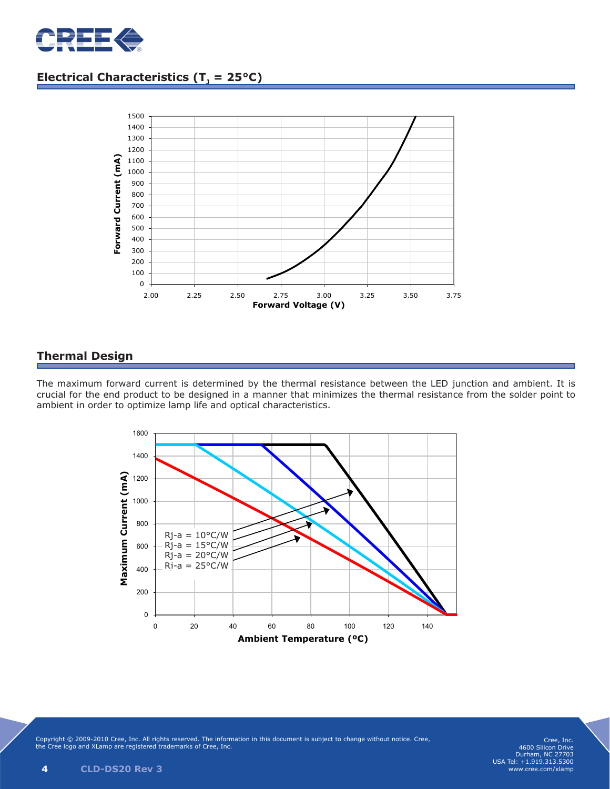

# **Electrical Characteristics (T<sub>1</sub> = 25°C)**



### **Thermal Design**

The maximum forward current is determined by the thermal resistance between the LED junction and ambient. It is crucial for the end product to be designed in a manner that minimizes the thermal resistance from the solder point to ambient in order to optimize lamp life and optical characteristics.



Copyright © 2009-2010 Cree, Inc. All rights reserved. The information in this document is subject to change without notice. Cree, the Cree logo and XLamp are registered trademarks of Cree, Inc.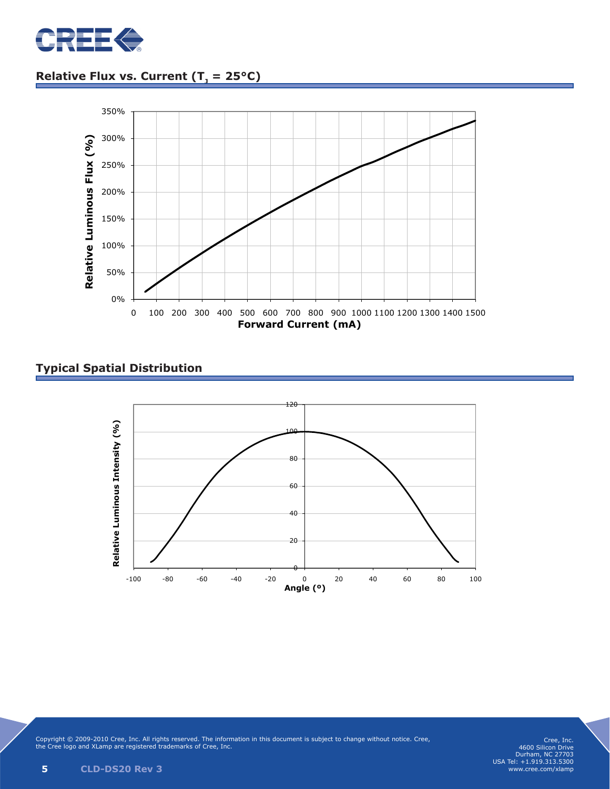

# **<u>Relative Flux vs. Current (T<sub>1</sub> = 25°C)</u>**



### **Typical Spatial Distribution**



Copyright © 2009-2010 Cree, Inc. All rights reserved. The information in this document is subject to change without notice. Cree, the Cree logo and XLamp are registered trademarks of Cree, Inc.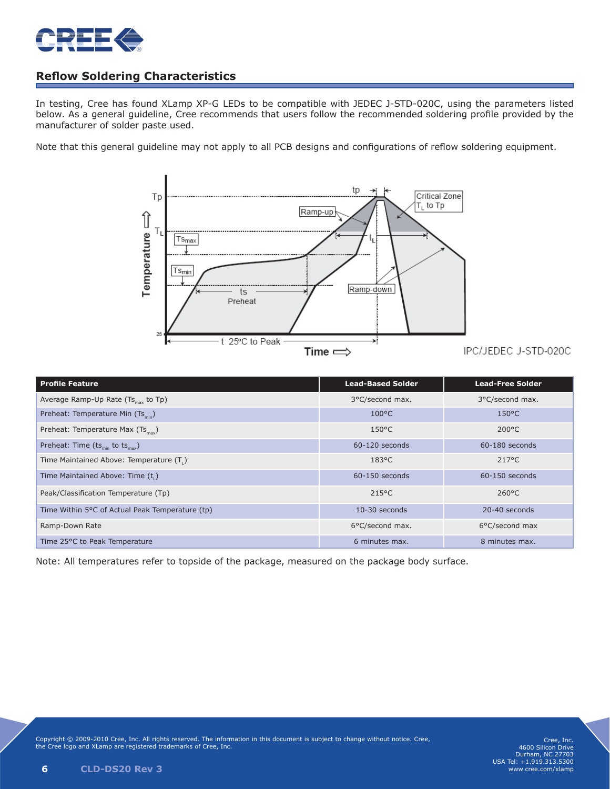

### **Reflow Soldering Characteristics**

In testing, Cree has found XLamp XP-G LEDs to be compatible with JEDEC J-STD-020C, using the parameters listed below. As a general guideline, Cree recommends that users follow the recommended soldering profile provided by the manufacturer of solder paste used.

Note that this general guideline may not apply to all PCB designs and configurations of reflow soldering equipment.



| Profile Feature                                         | <b>Lead-Based Solder</b> | <b>Lead-Free Solder</b> |
|---------------------------------------------------------|--------------------------|-------------------------|
| Average Ramp-Up Rate (Ts <sub>max</sub> to Tp)          | 3°C/second max.          | 3°C/second max.         |
| Preheat: Temperature Min (Ts <sub>min</sub> )           | $100^{\circ}$ C          | $150^{\circ}$ C         |
| Preheat: Temperature Max (Ts <sub>max</sub> )           | $150^{\circ}$ C          | $200^{\circ}$ C         |
| Preheat: Time (ts <sub>min</sub> to ts <sub>max</sub> ) | 60-120 seconds           | 60-180 seconds          |
| Time Maintained Above: Temperature (T.)                 | $183^{\circ}$ C          | $217^{\circ}$ C         |
| Time Maintained Above: Time (t.)                        | 60-150 seconds           | 60-150 seconds          |

Time 25°C to Peak Temperature 6 minutes max. 8 minutes max. 8 minutes max. 8 minutes max.

Peak/Classification Temperature (Tp) 215°C 215°C 260°C Time Within 5°C of Actual Peak Temperature (tp) 10-30 seconds 20-40 seconds 20-40 seconds Ramp-Down Rate 6°C/second max. 6°C/second max. 6°C/second max. 66°C/second max. 66°C/second max.

Note: All temperatures refer to topside of the package, measured on the package body surface.

Time Ma

Time Ma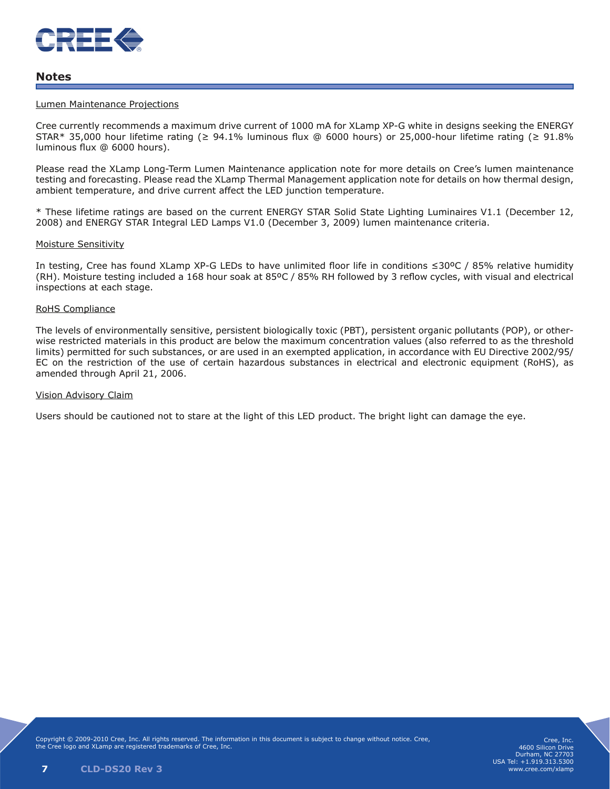

#### **Notes**

#### Lumen Maintenance Projections

Cree currently recommends a maximum drive current of 1000 mA for XLamp XP-G white in designs seeking the ENERGY STAR\* 35,000 hour lifetime rating ( $\geq 94.1\%$  luminous flux @ 6000 hours) or 25,000-hour lifetime rating ( $\geq 91.8\%$ luminous flux @ 6000 hours).

Please read the XLamp Long-Term Lumen Maintenance application note for more details on Cree's lumen maintenance testing and forecasting. Please read the XLamp Thermal Management application note for details on how thermal design, ambient temperature, and drive current affect the LED junction temperature.

\* These lifetime ratings are based on the current ENERGY STAR Solid State Lighting Luminaires V1.1 (December 12, 2008) and ENERGY STAR Integral LED Lamps V1.0 (December 3, 2009) lumen maintenance criteria.

#### Moisture Sensitivity

In testing, Cree has found XLamp XP-G LEDs to have unlimited floor life in conditions ≤30ºC / 85% relative humidity (RH). Moisture testing included a 168 hour soak at 85ºC / 85% RH followed by 3 reflow cycles, with visual and electrical inspections at each stage.

#### RoHS Compliance

The levels of environmentally sensitive, persistent biologically toxic (PBT), persistent organic pollutants (POP), or otherwise restricted materials in this product are below the maximum concentration values (also referred to as the threshold limits) permitted for such substances, or are used in an exempted application, in accordance with EU Directive 2002/95/ EC on the restriction of the use of certain hazardous substances in electrical and electronic equipment (RoHS), as amended through April 21, 2006.

#### Vision Advisory Claim

Users should be cautioned not to stare at the light of this LED product. The bright light can damage the eye.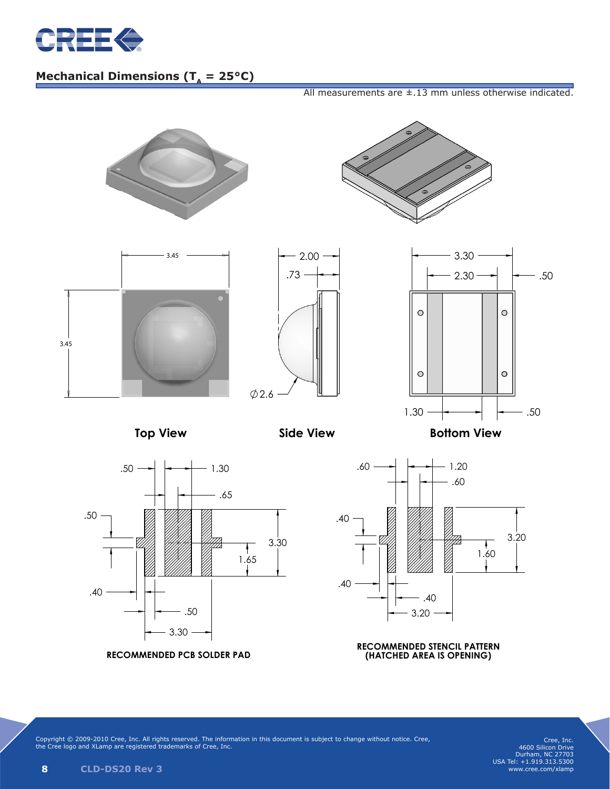

#### $A_{\rm eff}$  , and the set of the set of the set of the set of the set of the set of the set of the set of the set of the set of the set of the set of the set of the set of the set of the set of the set of the set of the set **Mechanical Dimensions (** $T_a = 25^{\circ}C$ **)**

All measurements are  $\pm$ .13 mm unless otherwise indicated.



Copyright © 2009-2010 Cree, Inc. All rights reserved. The information in this document is subject to change without notice. Cree, the Cree logo and XLamp are registered trademarks of Cree, Inc.

Cree, Inc. 4600 Silicon Drive Durham, NC 27703 USA Tel: +1.919.313.5300 www.cree.com/xlamp

 $\mathcal{S} = \{ \mathcal{S} \mid \mathcal{S} \in \mathcal{S} \mid \mathcal{S} \neq \emptyset \}$  . The set of the set of the set of the set of the set of the set of the set of the set of the set of the set of the set of the set of the set of the set of the set of the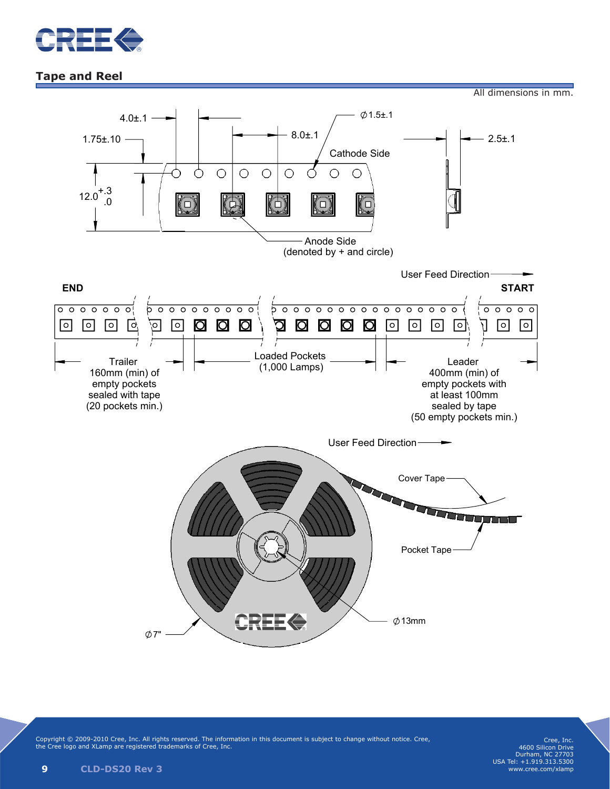

### **Tape and Reel**





Copyright © 2009-2010 Cree, Inc. All rights reserved. The information in this document is subject to change without notice. Cree, the Cree logo and XLamp are registered trademarks of Cree, Inc.